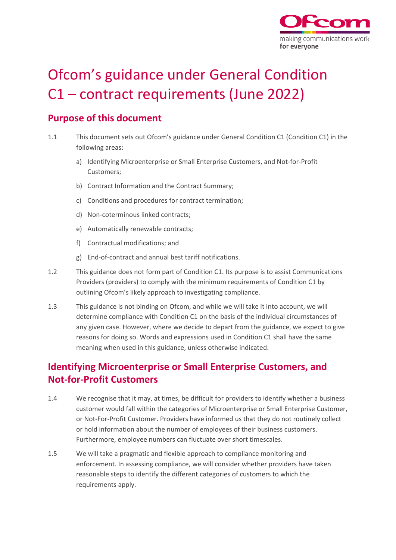

# Ofcom's guidance under General Condition C1 – contract requirements (June 2022)

# **Purpose of this document**

- 1.1 This document sets out Ofcom's guidance under General Condition C1 (Condition C1) in the following areas:
	- a) Identifying Microenterprise or Small Enterprise Customers, and Not-for-Profit Customers;
	- b) Contract Information and the Contract Summary;
	- c) Conditions and procedures for contract termination;
	- d) Non-coterminous linked contracts;
	- e) Automatically renewable contracts;
	- f) Contractual modifications; and
	- g) End-of-contract and annual best tariff notifications.
- 1.2 This guidance does not form part of Condition C1. Its purpose is to assist Communications Providers (providers) to comply with the minimum requirements of Condition C1 by outlining Ofcom's likely approach to investigating compliance.
- 1.3 This guidance is not binding on Ofcom, and while we will take it into account, we will determine compliance with Condition C1 on the basis of the individual circumstances of any given case. However, where we decide to depart from the guidance, we expect to give reasons for doing so. Words and expressions used in Condition C1 shall have the same meaning when used in this guidance, unless otherwise indicated.

# **Identifying Microenterprise or Small Enterprise Customers, and Not-for-Profit Customers**

- 1.4 We recognise that it may, at times, be difficult for providers to identify whether a business customer would fall within the categories of Microenterprise or Small Enterprise Customer, or Not-For-Profit Customer. Providers have informed us that they do not routinely collect or hold information about the number of employees of their business customers. Furthermore, employee numbers can fluctuate over short timescales.
- 1.5 We will take a pragmatic and flexible approach to compliance monitoring and enforcement. In assessing compliance, we will consider whether providers have taken reasonable steps to identify the different categories of customers to which the requirements apply.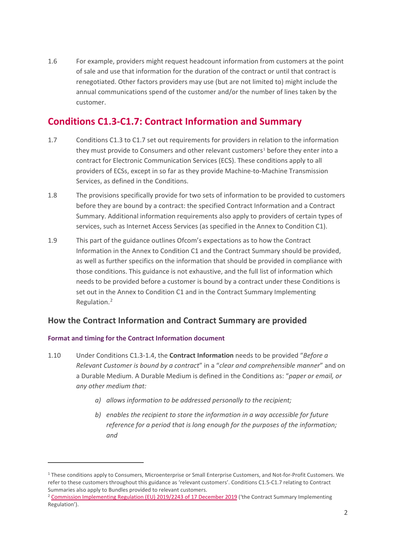1.6 For example, providers might request headcount information from customers at the point of sale and use that information for the duration of the contract or until that contract is renegotiated. Other factors providers may use (but are not limited to) might include the annual communications spend of the customer and/or the number of lines taken by the customer.

# **Conditions C1.3-C1.7: Contract Information and Summary**

- 1.7 Conditions C1.3 to C1.7 set out requirements for providers in relation to the information they must provide to Consumers and other relevant customers<sup>[1](#page-1-0)</sup> before they enter into a contract for Electronic Communication Services (ECS). These conditions apply to all providers of ECSs, except in so far as they provide Machine-to-Machine Transmission Services, as defined in the Conditions.
- 1.8 The provisions specifically provide for two sets of information to be provided to customers before they are bound by a contract: the specified Contract Information and a Contract Summary. Additional information requirements also apply to providers of certain types of services, such as Internet Access Services (as specified in the Annex to Condition C1).
- 1.9 This part of the guidance outlines Ofcom's expectations as to how the Contract Information in the Annex to Condition C1 and the Contract Summary should be provided, as well as further specifics on the information that should be provided in compliance with those conditions. This guidance is not exhaustive, and the full list of information which needs to be provided before a customer is bound by a contract under these Conditions is set out in the Annex to Condition C1 and in the Contract Summary Implementing Regulation.[2](#page-1-1)

# **How the Contract Information and Contract Summary are provided**

### **Format and timing for the Contract Information document**

- 1.10 Under Conditions C1.3-1.4, the **Contract Information** needs to be provided "*Before a Relevant Customer is bound by a contract*" in a "*clear and comprehensible manner*" and on a Durable Medium. A Durable Medium is defined in the Conditions as: "*paper or email, or any other medium that:* 
	- *a) allows information to be addressed personally to the recipient;*
	- *b) enables the recipient to store the information in a way accessible for future reference for a period that is long enough for the purposes of the information; and*

<span id="page-1-0"></span><sup>1</sup> These conditions apply to Consumers, Microenterprise or Small Enterprise Customers, and Not-for-Profit Customers. We refer to these customers throughout this guidance as 'relevant customers'. Conditions C1.5-C1.7 relating to Contract Summaries also apply to Bundles provided to relevant customers.

<span id="page-1-1"></span><sup>&</sup>lt;sup>2</sup> [Commission Implementing Regulation \(EU\) 2019/2243 of 17 December 2019 \(](https://www.legislation.gov.uk/eur/2019/2243/contents)'the Contract Summary Implementing Regulation').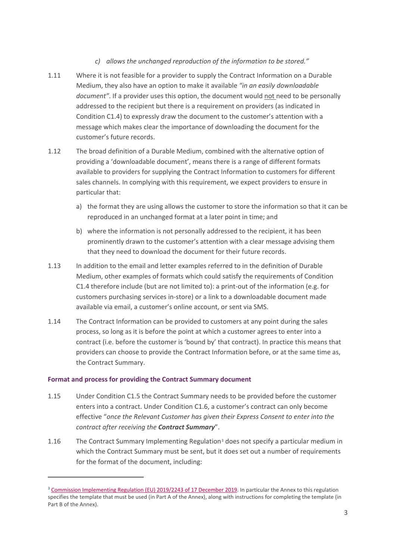### *c) allows the unchanged reproduction of the information to be stored."*

- 1.11 Where it is not feasible for a provider to supply the Contract Information on a Durable Medium, they also have an option to make it available *"in an easily downloadable document"*. If a provider uses this option, the document would not need to be personally addressed to the recipient but there is a requirement on providers (as indicated in Condition C1.4) to expressly draw the document to the customer's attention with a message which makes clear the importance of downloading the document for the customer's future records.
- 1.12 The broad definition of a Durable Medium, combined with the alternative option of providing a 'downloadable document', means there is a range of different formats available to providers for supplying the Contract Information to customers for different sales channels. In complying with this requirement, we expect providers to ensure in particular that:
	- a) the format they are using allows the customer to store the information so that it can be reproduced in an unchanged format at a later point in time; and
	- b) where the information is not personally addressed to the recipient, it has been prominently drawn to the customer's attention with a clear message advising them that they need to download the document for their future records.
- 1.13 In addition to the email and letter examples referred to in the definition of Durable Medium, other examples of formats which could satisfy the requirements of Condition C1.4 therefore include (but are not limited to): a print-out of the information (e.g. for customers purchasing services in-store) or a link to a downloadable document made available via email, a customer's online account, or sent via SMS.
- 1.14 The Contract Information can be provided to customers at any point during the sales process, so long as it is before the point at which a customer agrees to enter into a contract (i.e. before the customer is 'bound by' that contract). In practice this means that providers can choose to provide the Contract Information before, or at the same time as, the Contract Summary.

### **Format and process for providing the Contract Summary document**

- 1.15 Under Condition C1.5 the Contract Summary needs to be provided before the customer enters into a contract. Under Condition C1.6, a customer's contract can only become effective "*once the Relevant Customer has given their Express Consent to enter into the contract after receiving the Contract Summary*".
- 1.16 The Contract Summary Implementing Regulation<sup>[3](#page-2-0)</sup> does not specify a particular medium in which the Contract Summary must be sent, but it does set out a number of requirements for the format of the document, including:

<span id="page-2-0"></span><sup>&</sup>lt;sup>3</sup> [Commission Implementing Regulation \(EU\) 2019/2243 of 17 December 2019.](https://www.legislation.gov.uk/eur/2019/2243/contents) In particular the Annex to this regulation specifies the template that must be used (in Part A of the Annex), along with instructions for completing the template (in Part B of the Annex).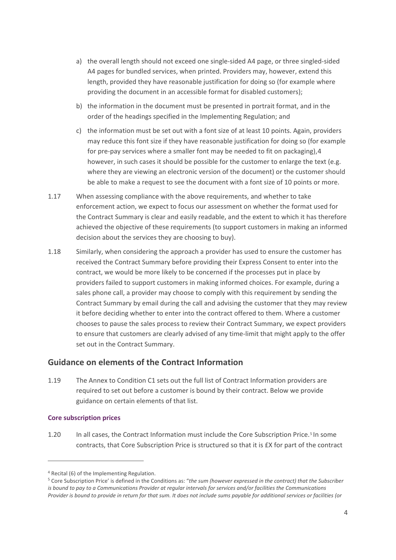- a) the overall length should not exceed one single-sided A4 page, or three singled-sided A4 pages for bundled services, when printed. Providers may, however, extend this length, provided they have reasonable justification for doing so (for example where providing the document in an accessible format for disabled customers);
- b) the information in the document must be presented in portrait format, and in the order of the headings specified in the Implementing Regulation; and
- c) the information must be set out with a font size of at least 10 points. Again, providers may reduce this font size if they have reasonable justification for doing so (for example for pre-pay services where a smaller font may be needed to fit on packaging),[4](#page-3-0) however, in such cases it should be possible for the customer to enlarge the text (e.g. where they are viewing an electronic version of the document) or the customer should be able to make a request to see the document with a font size of 10 points or more.
- 1.17 When assessing compliance with the above requirements, and whether to take enforcement action, we expect to focus our assessment on whether the format used for the Contract Summary is clear and easily readable, and the extent to which it has therefore achieved the objective of these requirements (to support customers in making an informed decision about the services they are choosing to buy).
- 1.18 Similarly, when considering the approach a provider has used to ensure the customer has received the Contract Summary before providing their Express Consent to enter into the contract, we would be more likely to be concerned if the processes put in place by providers failed to support customers in making informed choices. For example, during a sales phone call, a provider may choose to comply with this requirement by sending the Contract Summary by email during the call and advising the customer that they may review it before deciding whether to enter into the contract offered to them. Where a customer chooses to pause the sales process to review their Contract Summary, we expect providers to ensure that customers are clearly advised of any time-limit that might apply to the offer set out in the Contract Summary.

### **Guidance on elements of the Contract Information**

1.19 The Annex to Condition C1 sets out the full list of Contract Information providers are required to set out before a customer is bound by their contract. Below we provide guidance on certain elements of that list.

### **Core subscription prices**

1.20 In all cases, the Contract Information must include the Core Subscription Price.<sup>[5](#page-3-1)</sup> In some contracts, that Core Subscription Price is structured so that it is £X for part of the contract

<span id="page-3-0"></span><sup>4</sup> Recital (6) of the Implementing Regulation.

<span id="page-3-1"></span><sup>5</sup> Core Subscription Price' is defined in the Conditions as: "*the sum (however expressed in the contract) that the Subscriber is bound to pay to a Communications Provider at regular intervals for services and/or facilities the Communications Provider is bound to provide in return for that sum. It does not include sums payable for additional services or facilities (or*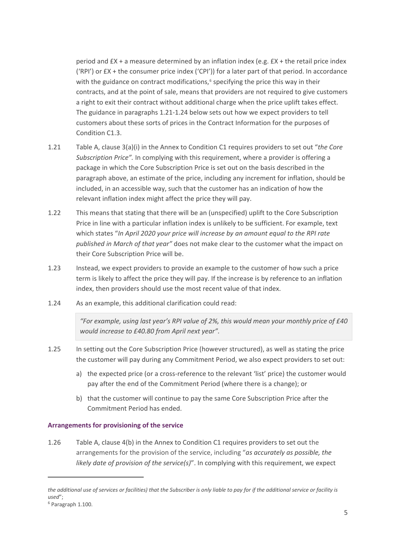period and £X + a measure determined by an inflation index (e.g. £X + the retail price index ('RPI') or £X + the consumer price index ('CPI')) for a later part of that period. In accordance with the guidance on contract modifications, $6$  specifying the price this way in their contracts, and at the point of sale, means that providers are not required to give customers a right to exit their contract without additional charge when the price uplift takes effect. The guidance in paragraphs 1.21-1.24 below sets out how we expect providers to tell customers about these sorts of prices in the Contract Information for the purposes of Condition C1.3.

- 1.21 Table A, clause 3(a)(i) in the Annex to Condition C1 requires providers to set out "*the Core Subscription Price".* In complying with this requirement, where a provider is offering a package in which the Core Subscription Price is set out on the basis described in the paragraph above, an estimate of the price, including any increment for inflation, should be included, in an accessible way, such that the customer has an indication of how the relevant inflation index might affect the price they will pay.
- 1.22 This means that stating that there will be an (unspecified) uplift to the Core Subscription Price in line with a particular inflation index is unlikely to be sufficient. For example, text which states "*In April 2020 your price will increase by an amount equal to the RPI rate published in March of that year"* does not make clear to the customer what the impact on their Core Subscription Price will be.
- 1.23 Instead, we expect providers to provide an example to the customer of how such a price term is likely to affect the price they will pay. If the increase is by reference to an inflation index, then providers should use the most recent value of that index.
- 1.24 As an example, this additional clarification could read:

*"For example, using last year's RPI value of 2%, this would mean your monthly price of £40 would increase to £40.80 from April next year".* 

- 1.25 In setting out the Core Subscription Price (however structured), as well as stating the price the customer will pay during any Commitment Period, we also expect providers to set out:
	- a) the expected price (or a cross-reference to the relevant 'list' price) the customer would pay after the end of the Commitment Period (where there is a change); or
	- b) that the customer will continue to pay the same Core Subscription Price after the Commitment Period has ended.

### **Arrangements for provisioning of the service**

1.26 Table A, clause 4(b) in the Annex to Condition C1 requires providers to set out the arrangements for the provision of the service, including "*as accurately as possible, the likely date of provision of the service(s)*". In complying with this requirement, we expect

*the additional use of services or facilities) that the Subscriber is only liable to pay for if the additional service or facility is used*";

<span id="page-4-0"></span><sup>6</sup> Paragraph 1.100.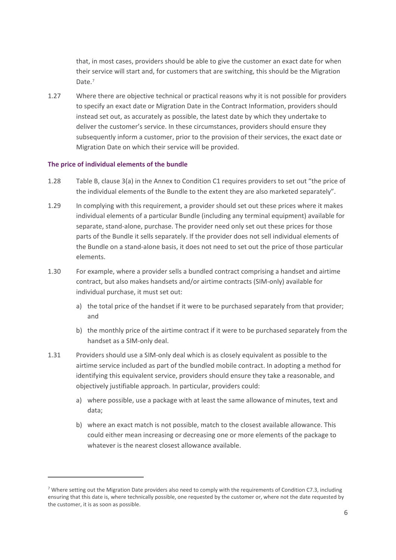that, in most cases, providers should be able to give the customer an exact date for when their service will start and, for customers that are switching, this should be the Migration Date.<sup>[7](#page-5-0)</sup>

1.27 Where there are objective technical or practical reasons why it is not possible for providers to specify an exact date or Migration Date in the Contract Information, providers should instead set out, as accurately as possible, the latest date by which they undertake to deliver the customer's service. In these circumstances, providers should ensure they subsequently inform a customer, prior to the provision of their services, the exact date or Migration Date on which their service will be provided.

#### **The price of individual elements of the bundle**

- 1.28 Table B, clause 3(a) in the Annex to Condition C1 requires providers to set out "the price of the individual elements of the Bundle to the extent they are also marketed separately".
- 1.29 In complying with this requirement, a provider should set out these prices where it makes individual elements of a particular Bundle (including any terminal equipment) available for separate, stand-alone, purchase. The provider need only set out these prices for those parts of the Bundle it sells separately. If the provider does not sell individual elements of the Bundle on a stand-alone basis, it does not need to set out the price of those particular elements.
- 1.30 For example, where a provider sells a bundled contract comprising a handset and airtime contract, but also makes handsets and/or airtime contracts (SIM-only) available for individual purchase, it must set out:
	- a) the total price of the handset if it were to be purchased separately from that provider; and
	- b) the monthly price of the airtime contract if it were to be purchased separately from the handset as a SIM-only deal.
- 1.31 Providers should use a SIM-only deal which is as closely equivalent as possible to the airtime service included as part of the bundled mobile contract. In adopting a method for identifying this equivalent service, providers should ensure they take a reasonable, and objectively justifiable approach. In particular, providers could:
	- a) where possible, use a package with at least the same allowance of minutes, text and data;
	- b) where an exact match is not possible, match to the closest available allowance. This could either mean increasing or decreasing one or more elements of the package to whatever is the nearest closest allowance available.

<span id="page-5-0"></span><sup>&</sup>lt;sup>7</sup> Where setting out the Migration Date providers also need to comply with the requirements of Condition C7.3, including ensuring that this date is, where technically possible, one requested by the customer or, where not the date requested by the customer, it is as soon as possible.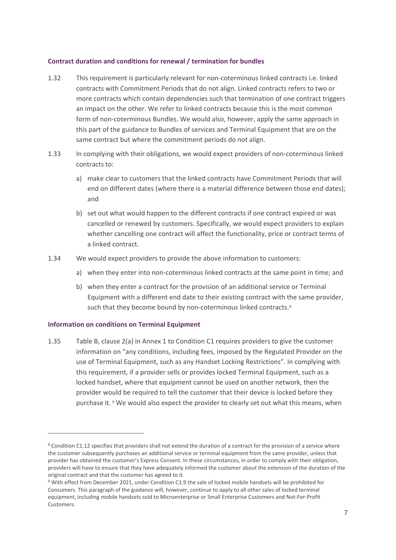#### **Contract duration and conditions for renewal / termination for bundles**

- 1.32 This requirement is particularly relevant for non-coterminous linked contracts i.e. linked contracts with Commitment Periods that do not align. Linked contracts refers to two or more contracts which contain dependencies such that termination of one contract triggers an impact on the other. We refer to linked contracts because this is the most common form of non-coterminous Bundles. We would also, however, apply the same approach in this part of the guidance to Bundles of services and Terminal Equipment that are on the same contract but where the commitment periods do not align.
- 1.33 In complying with their obligations, we would expect providers of non-coterminous linked contracts to:
	- a) make clear to customers that the linked contracts have Commitment Periods that will end on different dates (where there is a material difference between those end dates); and
	- b) set out what would happen to the different contracts if one contract expired or was cancelled or renewed by customers. Specifically, we would expect providers to explain whether cancelling one contract will affect the functionality, price or contract terms of a linked contract.
- 1.34 We would expect providers to provide the above information to customers:
	- a) when they enter into non-coterminous linked contracts at the same point in time; and
	- b) when they enter a contract for the provision of an additional service or Terminal Equipment with a different end date to their existing contract with the same provider, such that they become bound by non-coterminous linked contracts.<sup>[8](#page-6-0)</sup>

#### **Information on conditions on Terminal Equipment**

1.35 Table B, clause 2(a) in Annex 1 to Condition C1 requires providers to give the customer information on "any conditions, including fees, imposed by the Regulated Provider on the use of Terminal Equipment, such as any Handset Locking Restrictions". In complying with this requirement, if a provider sells or provides locked Terminal Equipment, such as a locked handset, where that equipment cannot be used on another network, then the provider would be required to tell the customer that their device is locked before they purchase it. [9](#page-6-1) We would also expect the provider to clearly set out what this means, when

<span id="page-6-0"></span><sup>&</sup>lt;sup>8</sup> Condition C1.12 specifies that providers shall not extend the duration of a contract for the provision of a service where the customer subsequently purchases an additional service or terminal equipment from the same provider, unless that provider has obtained the customer's Express Consent. In these circumstances, in order to comply with their obligation, providers will have to ensure that they have adequately informed the customer about the extension of the duration of the original contract and that the customer has agreed to it.

<span id="page-6-1"></span><sup>9</sup> With effect from December 2021, under Condition C1.9 the sale of locked mobile handsets will be prohibited for Consumers. This paragraph of the guidance will, however, continue to apply to all other sales of locked terminal equipment, including mobile handsets sold to Microenterprise or Small Enterprise Customers and Not-For-Profit Customers.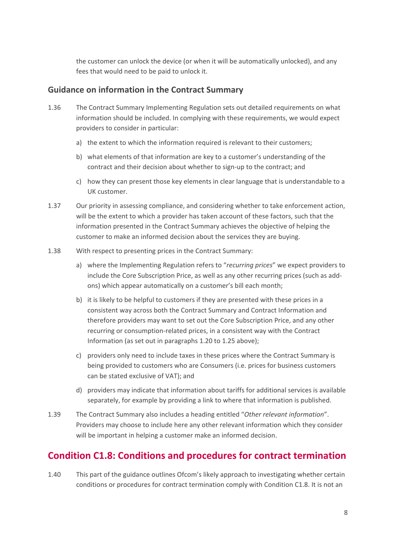the customer can unlock the device (or when it will be automatically unlocked), and any fees that would need to be paid to unlock it.

# **Guidance on information in the Contract Summary**

- 1.36 The Contract Summary Implementing Regulation sets out detailed requirements on what information should be included. In complying with these requirements, we would expect providers to consider in particular:
	- a) the extent to which the information required is relevant to their customers;
	- b) what elements of that information are key to a customer's understanding of the contract and their decision about whether to sign-up to the contract; and
	- c) how they can present those key elements in clear language that is understandable to a UK customer.
- 1.37 Our priority in assessing compliance, and considering whether to take enforcement action, will be the extent to which a provider has taken account of these factors, such that the information presented in the Contract Summary achieves the objective of helping the customer to make an informed decision about the services they are buying.
- 1.38 With respect to presenting prices in the Contract Summary:
	- a) where the Implementing Regulation refers to "*recurring prices*" we expect providers to include the Core Subscription Price, as well as any other recurring prices (such as addons) which appear automatically on a customer's bill each month;
	- b) it is likely to be helpful to customers if they are presented with these prices in a consistent way across both the Contract Summary and Contract Information and therefore providers may want to set out the Core Subscription Price, and any other recurring or consumption-related prices, in a consistent way with the Contract Information (as set out in paragraphs 1.20 to 1.25 above);
	- c) providers only need to include taxes in these prices where the Contract Summary is being provided to customers who are Consumers (i.e. prices for business customers can be stated exclusive of VAT); and
	- d) providers may indicate that information about tariffs for additional services is available separately, for example by providing a link to where that information is published.
- 1.39 The Contract Summary also includes a heading entitled "*Other relevant information*". Providers may choose to include here any other relevant information which they consider will be important in helping a customer make an informed decision.

# **Condition C1.8: Conditions and procedures for contract termination**

1.40 This part of the guidance outlines Ofcom's likely approach to investigating whether certain conditions or procedures for contract termination comply with Condition C1.8. It is not an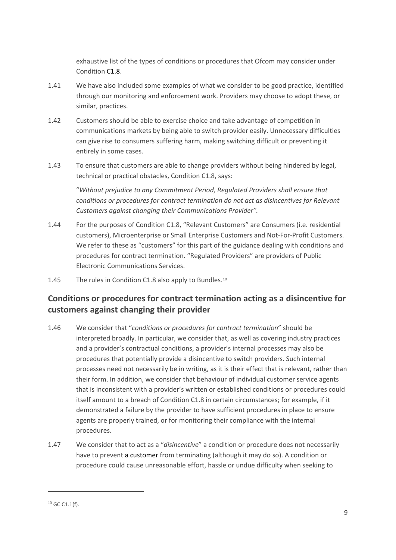exhaustive list of the types of conditions or procedures that Ofcom may consider under Condition C1.8.

- 1.41 We have also included some examples of what we consider to be good practice, identified through our monitoring and enforcement work. Providers may choose to adopt these, or similar, practices.
- 1.42 Customers should be able to exercise choice and take advantage of competition in communications markets by being able to switch provider easily. Unnecessary difficulties can give rise to consumers suffering harm, making switching difficult or preventing it entirely in some cases.
- 1.43 To ensure that customers are able to change providers without being hindered by legal, technical or practical obstacles, Condition C1.8, says:

"*Without prejudice to any Commitment Period, Regulated Providers shall ensure that conditions or procedures for contract termination do not act as disincentives for Relevant Customers against changing their Communications Provider".*

- 1.44 For the purposes of Condition C1.8, "Relevant Customers" are Consumers (i.e. residential customers), Microenterprise or Small Enterprise Customers and Not-For-Profit Customers. We refer to these as "customers" for this part of the guidance dealing with conditions and procedures for contract termination. "Regulated Providers" are providers of Public Electronic Communications Services.
- 1.45 The rules in Condition C1.8 also apply to Bundles.<sup>[10](#page-8-0)</sup>

# **Conditions or procedures for contract termination acting as a disincentive for customers against changing their provider**

- 1.46 We consider that "*conditions or procedures for contract termination*" should be interpreted broadly. In particular, we consider that, as well as covering industry practices and a provider's contractual conditions, a provider's internal processes may also be procedures that potentially provide a disincentive to switch providers. Such internal processes need not necessarily be in writing, as it is their effect that is relevant, rather than their form. In addition, we consider that behaviour of individual customer service agents that is inconsistent with a provider's written or established conditions or procedures could itself amount to a breach of Condition C1.8 in certain circumstances; for example, if it demonstrated a failure by the provider to have sufficient procedures in place to ensure agents are properly trained, or for monitoring their compliance with the internal procedures.
- 1.47 We consider that to act as a "*disincentive*" a condition or procedure does not necessarily have to prevent a customer from terminating (although it may do so). A condition or procedure could cause unreasonable effort, hassle or undue difficulty when seeking to

<span id="page-8-0"></span> $10$  GC C1.1(f).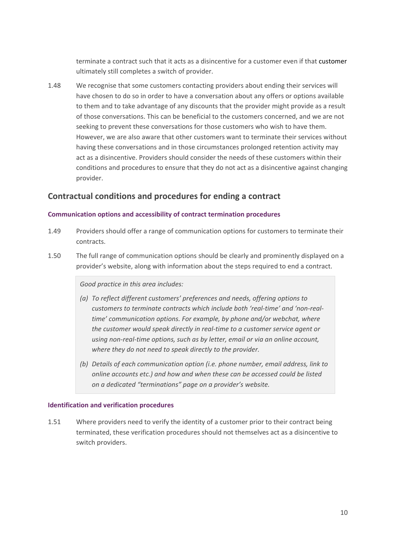terminate a contract such that it acts as a disincentive for a customer even if that customer ultimately still completes a switch of provider.

1.48 We recognise that some customers contacting providers about ending their services will have chosen to do so in order to have a conversation about any offers or options available to them and to take advantage of any discounts that the provider might provide as a result of those conversations. This can be beneficial to the customers concerned, and we are not seeking to prevent these conversations for those customers who wish to have them. However, we are also aware that other customers want to terminate their services without having these conversations and in those circumstances prolonged retention activity may act as a disincentive. Providers should consider the needs of these customers within their conditions and procedures to ensure that they do not act as a disincentive against changing provider.

# **Contractual conditions and procedures for ending a contract**

### **Communication options and accessibility of contract termination procedures**

- 1.49 Providers should offer a range of communication options for customers to terminate their contracts.
- 1.50 The full range of communication options should be clearly and prominently displayed on a provider's website, along with information about the steps required to end a contract.

### *Good practice in this area includes:*

- *(a) To reflect different customers' preferences and needs, offering options to customers to terminate contracts which include both 'real-time' and 'non-realtime' communication options. For example, by phone and/or webchat, where the customer would speak directly in real-time to a customer service agent or using non-real-time options, such as by letter, email or via an online account, where they do not need to speak directly to the provider.*
- *(b) Details of each communication option (i.e. phone number, email address, link to online accounts etc.) and how and when these can be accessed could be listed on a dedicated "terminations" page on a provider's website.*

#### **Identification and verification procedures**

1.51 Where providers need to verify the identity of a customer prior to their contract being terminated, these verification procedures should not themselves act as a disincentive to switch providers.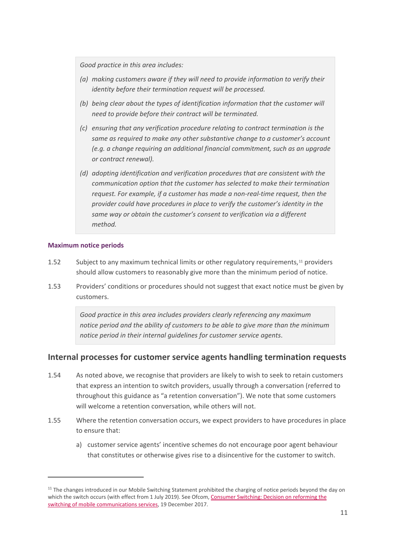*Good practice in this area includes:*

- *(a) making customers aware if they will need to provide information to verify their identity before their termination request will be processed.*
- *(b) being clear about the types of identification information that the customer will need to provide before their contract will be terminated.*
- *(c) ensuring that any verification procedure relating to contract termination is the same as required to make any other substantive change to a customer's account (e.g. a change requiring an additional financial commitment, such as an upgrade or contract renewal).*
- *(d) adopting identification and verification procedures that are consistent with the communication option that the customer has selected to make their termination request. For example, if a customer has made a non-real-time request, then the provider could have procedures in place to verify the customer's identity in the same way or obtain the customer's consent to verification via a different method.*

### **Maximum notice periods**

- 1.52 Subject to any maximum technical limits or other regulatory requirements,<sup>[11](#page-10-0)</sup> providers should allow customers to reasonably give more than the minimum period of notice.
- 1.53 Providers' conditions or procedures should not suggest that exact notice must be given by customers.

*Good practice in this area includes providers clearly referencing any maximum notice period and the ability of customers to be able to give more than the minimum notice period in their internal guidelines for customer service agents*.

### **Internal processes for customer service agents handling termination requests**

- 1.54 As noted above, we recognise that providers are likely to wish to seek to retain customers that express an intention to switch providers, usually through a conversation (referred to throughout this guidance as "a retention conversation"). We note that some customers will welcome a retention conversation, while others will not.
- 1.55 Where the retention conversation occurs, we expect providers to have procedures in place to ensure that:
	- a) customer service agents' incentive schemes do not encourage poor agent behaviour that constitutes or otherwise gives rise to a disincentive for the customer to switch.

<span id="page-10-0"></span> $11$  The changes introduced in our Mobile Switching Statement prohibited the charging of notice periods beyond the day on which the switch occurs (with effect from 1 July 2019). See Ofcom[, Consumer Switching: Decision on reforming](https://www.ofcom.org.uk/__data/assets/pdf_file/0023/108941/Consumer-switching-statement.pdf) the [switching of mobile communications services,](https://www.ofcom.org.uk/__data/assets/pdf_file/0023/108941/Consumer-switching-statement.pdf) 19 December 2017.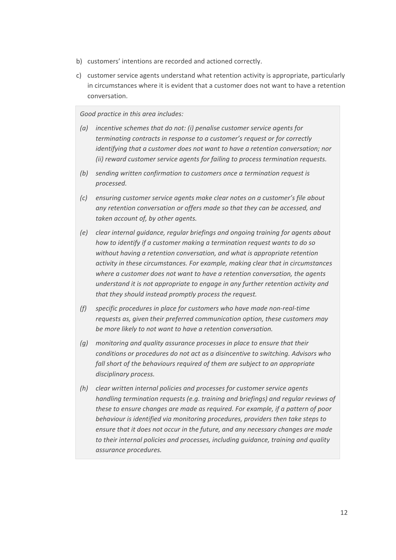- b) customers' intentions are recorded and actioned correctly.
- c) customer service agents understand what retention activity is appropriate, particularly in circumstances where it is evident that a customer does not want to have a retention conversation.

### *Good practice in this area includes:*

- *(a) incentive schemes that do not: (i) penalise customer service agents for terminating contracts in response to a customer's request or for correctly identifying that a customer does not want to have a retention conversation; nor (ii) reward customer service agents for failing to process termination requests.*
- *(b) sending written confirmation to customers once a termination request is processed.*
- *(c) ensuring customer service agents make clear notes on a customer's file about any retention conversation or offers made so that they can be accessed, and taken account of, by other agents.*
- *(e) clear internal guidance, regular briefings and ongoing training for agents about how to identify if a customer making a termination request wants to do so without having a retention conversation, and what is appropriate retention activity in these circumstances. For example, making clear that in circumstances where a customer does not want to have a retention conversation, the agents understand it is not appropriate to engage in any further retention activity and that they should instead promptly process the request.*
- *(f) specific procedures in place for customers who have made non-real-time requests as, given their preferred communication option, these customers may be more likely to not want to have a retention conversation.*
- *(g) monitoring and quality assurance processes in place to ensure that their conditions or procedures do not act as a disincentive to switching. Advisors who fall short of the behaviours required of them are subject to an appropriate disciplinary process.*
- *(h) clear written internal policies and processes for customer service agents handling termination requests (e.g. training and briefings) and regular reviews of these to ensure changes are made as required. For example, if a pattern of poor behaviour is identified via monitoring procedures, providers then take steps to ensure that it does not occur in the future, and any necessary changes are made to their internal policies and processes, including guidance, training and quality assurance procedures.*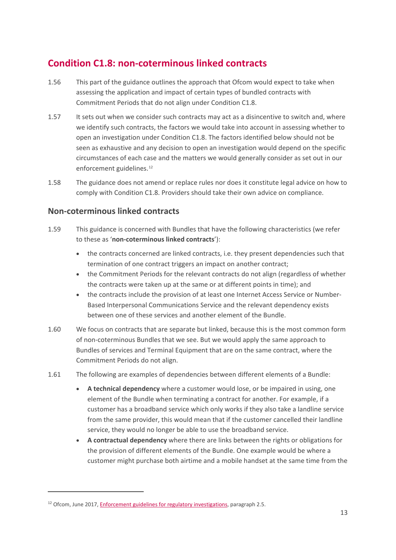# **Condition C1.8: non-coterminous linked contracts**

- 1.56 This part of the guidance outlines the approach that Ofcom would expect to take when assessing the application and impact of certain types of bundled contracts with Commitment Periods that do not align under Condition C1.8.
- 1.57 It sets out when we consider such contracts may act as a disincentive to switch and, where we identify such contracts, the factors we would take into account in assessing whether to open an investigation under Condition C1.8. The factors identified below should not be seen as exhaustive and any decision to open an investigation would depend on the specific circumstances of each case and the matters we would generally consider as set out in our enforcement guidelines.<sup>12</sup>
- 1.58 The guidance does not amend or replace rules nor does it constitute legal advice on how to comply with Condition C1.8. Providers should take their own advice on compliance.

# **Non-coterminous linked contracts**

- 1.59 This guidance is concerned with Bundles that have the following characteristics (we refer to these as '**non-coterminous linked contracts**'):
	- the contracts concerned are linked contracts, i.e. they present dependencies such that termination of one contract triggers an impact on another contract;
	- the Commitment Periods for the relevant contracts do not align (regardless of whether the contracts were taken up at the same or at different points in time); and
	- the contracts include the provision of at least one Internet Access Service or Number-Based Interpersonal Communications Service and the relevant dependency exists between one of these services and another element of the Bundle.
- 1.60 We focus on contracts that are separate but linked, because this is the most common form of non-coterminous Bundles that we see. But we would apply the same approach to Bundles of services and Terminal Equipment that are on the same contract, where the Commitment Periods do not align.
- 1.61 The following are examples of dependencies between different elements of a Bundle:
	- **A technical dependency** where a customer would lose, or be impaired in using, one element of the Bundle when terminating a contract for another. For example, if a customer has a broadband service which only works if they also take a landline service from the same provider, this would mean that if the customer cancelled their landline service, they would no longer be able to use the broadband service.
	- **A contractual dependency** where there are links between the rights or obligations for the provision of different elements of the Bundle. One example would be where a customer might purchase both airtime and a mobile handset at the same time from the

<span id="page-12-0"></span><sup>&</sup>lt;sup>12</sup> Ofcom, June 2017[, Enforcement guidelines for regulatory investigations,](https://www.ofcom.org.uk/__data/assets/pdf_file/0015/102516/Enforcement-guidelines-for-regulatory-investigations.pdf) paragraph 2.5.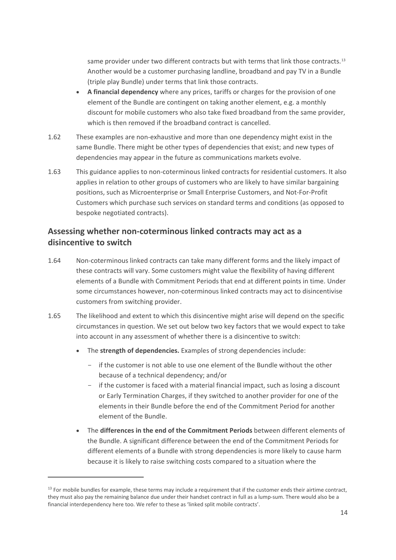same provider under two different contracts but with terms that link those contracts.<sup>[13](#page-13-0)</sup> Another would be a customer purchasing landline, broadband and pay TV in a Bundle (triple play Bundle) under terms that link those contracts.

- **A financial dependency** where any prices, tariffs or charges for the provision of one element of the Bundle are contingent on taking another element, e.g. a monthly discount for mobile customers who also take fixed broadband from the same provider, which is then removed if the broadband contract is cancelled.
- 1.62 These examples are non-exhaustive and more than one dependency might exist in the same Bundle. There might be other types of dependencies that exist; and new types of dependencies may appear in the future as communications markets evolve.
- 1.63 This guidance applies to non-coterminous linked contracts for residential customers. It also applies in relation to other groups of customers who are likely to have similar bargaining positions, such as Microenterprise or Small Enterprise Customers, and Not-For-Profit Customers which purchase such services on standard terms and conditions (as opposed to bespoke negotiated contracts).

# **Assessing whether non-coterminous linked contracts may act as a disincentive to switch**

- 1.64 Non-coterminous linked contracts can take many different forms and the likely impact of these contracts will vary. Some customers might value the flexibility of having different elements of a Bundle with Commitment Periods that end at different points in time. Under some circumstances however, non-coterminous linked contracts may act to disincentivise customers from switching provider.
- 1.65 The likelihood and extent to which this disincentive might arise will depend on the specific circumstances in question. We set out below two key factors that we would expect to take into account in any assessment of whether there is a disincentive to switch:
	- The **strength of dependencies.** Examples of strong dependencies include:
		- if the customer is not able to use one element of the Bundle without the other because of a technical dependency; and/or
		- if the customer is faced with a material financial impact, such as losing a discount or Early Termination Charges, if they switched to another provider for one of the elements in their Bundle before the end of the Commitment Period for another element of the Bundle.
	- The **differences in the end of the Commitment Periods** between different elements of the Bundle. A significant difference between the end of the Commitment Periods for different elements of a Bundle with strong dependencies is more likely to cause harm because it is likely to raise switching costs compared to a situation where the

<span id="page-13-0"></span> $13$  For mobile bundles for example, these terms may include a requirement that if the customer ends their airtime contract, they must also pay the remaining balance due under their handset contract in full as a lump-sum. There would also be a financial interdependency here too. We refer to these as 'linked split mobile contracts'.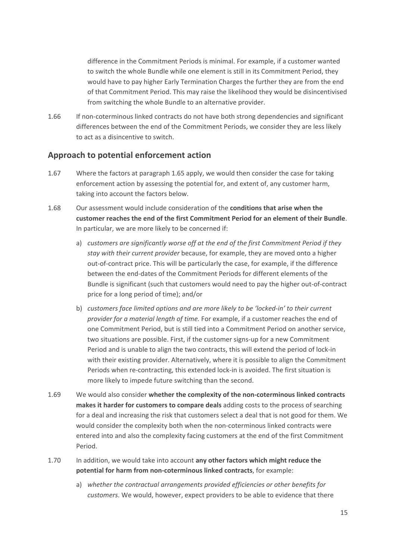difference in the Commitment Periods is minimal. For example, if a customer wanted to switch the whole Bundle while one element is still in its Commitment Period, they would have to pay higher Early Termination Charges the further they are from the end of that Commitment Period. This may raise the likelihood they would be disincentivised from switching the whole Bundle to an alternative provider.

1.66 If non-coterminous linked contracts do not have both strong dependencies and significant differences between the end of the Commitment Periods, we consider they are less likely to act as a disincentive to switch.

### **Approach to potential enforcement action**

- 1.67 Where the factors at paragraph 1.65 apply, we would then consider the case for taking enforcement action by assessing the potential for, and extent of, any customer harm, taking into account the factors below.
- 1.68 Our assessment would include consideration of the **conditions that arise when the customer reaches the end of the first Commitment Period for an element of their Bundle**. In particular, we are more likely to be concerned if:
	- a) *customers are significantly worse off at the end of the first Commitment Period if they stay with their current provider* because, for example, they are moved onto a higher out-of-contract price. This will be particularly the case, for example, if the difference between the end-dates of the Commitment Periods for different elements of the Bundle is significant (such that customers would need to pay the higher out-of-contract price for a long period of time); and/or
	- b) *customers face limited options and are more likely to be 'locked-in' to their current provider for a material length of time.* For example, if a customer reaches the end of one Commitment Period, but is still tied into a Commitment Period on another service, two situations are possible. First, if the customer signs-up for a new Commitment Period and is unable to align the two contracts, this will extend the period of lock-in with their existing provider. Alternatively, where it is possible to align the Commitment Periods when re-contracting, this extended lock-in is avoided. The first situation is more likely to impede future switching than the second.
- 1.69 We would also consider **whether the complexity of the non-coterminous linked contracts makes it harder for customers to compare deals** adding costs to the process of searching for a deal and increasing the risk that customers select a deal that is not good for them. We would consider the complexity both when the non-coterminous linked contracts were entered into and also the complexity facing customers at the end of the first Commitment Period.
- 1.70 In addition, we would take into account **any other factors which might reduce the potential for harm from non-coterminous linked contracts**, for example:
	- a) *whether the contractual arrangements provided efficiencies or other benefits for customers*. We would, however, expect providers to be able to evidence that there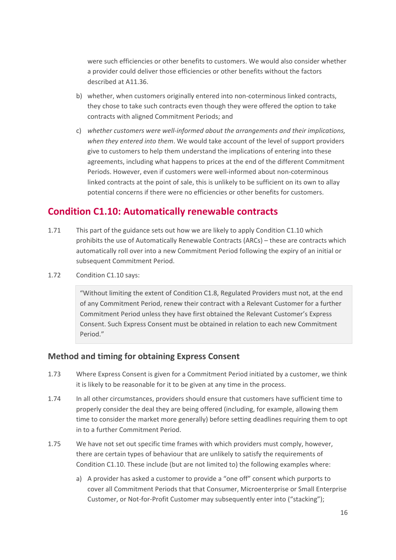were such efficiencies or other benefits to customers. We would also consider whether a provider could deliver those efficiencies or other benefits without the factors described at A11.36.

- b) whether, when customers originally entered into non-coterminous linked contracts, they chose to take such contracts even though they were offered the option to take contracts with aligned Commitment Periods; and
- c) *whether customers were well-informed about the arrangements and their implications, when they entered into them*. We would take account of the level of support providers give to customers to help them understand the implications of entering into these agreements, including what happens to prices at the end of the different Commitment Periods. However, even if customers were well-informed about non-coterminous linked contracts at the point of sale, this is unlikely to be sufficient on its own to allay potential concerns if there were no efficiencies or other benefits for customers.

# **Condition C1.10: Automatically renewable contracts**

- 1.71 This part of the guidance sets out how we are likely to apply Condition C1.10 which prohibits the use of Automatically Renewable Contracts (ARCs) – these are contracts which automatically roll over into a new Commitment Period following the expiry of an initial or subsequent Commitment Period.
- 1.72 Condition C1.10 says:

"Without limiting the extent of Condition C1.8, Regulated Providers must not, at the end of any Commitment Period, renew their contract with a Relevant Customer for a further Commitment Period unless they have first obtained the Relevant Customer's Express Consent. Such Express Consent must be obtained in relation to each new Commitment Period."

### **Method and timing for obtaining Express Consent**

- 1.73 Where Express Consent is given for a Commitment Period initiated by a customer, we think it is likely to be reasonable for it to be given at any time in the process.
- 1.74 In all other circumstances, providers should ensure that customers have sufficient time to properly consider the deal they are being offered (including, for example, allowing them time to consider the market more generally) before setting deadlines requiring them to opt in to a further Commitment Period.
- 1.75 We have not set out specific time frames with which providers must comply, however, there are certain types of behaviour that are unlikely to satisfy the requirements of Condition C1.10. These include (but are not limited to) the following examples where:
	- a) A provider has asked a customer to provide a "one off" consent which purports to cover all Commitment Periods that that Consumer, Microenterprise or Small Enterprise Customer, or Not-for-Profit Customer may subsequently enter into ("stacking");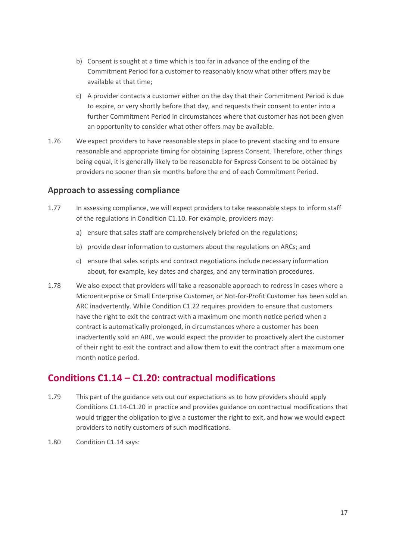- b) Consent is sought at a time which is too far in advance of the ending of the Commitment Period for a customer to reasonably know what other offers may be available at that time;
- c) A provider contacts a customer either on the day that their Commitment Period is due to expire, or very shortly before that day, and requests their consent to enter into a further Commitment Period in circumstances where that customer has not been given an opportunity to consider what other offers may be available.
- 1.76 We expect providers to have reasonable steps in place to prevent stacking and to ensure reasonable and appropriate timing for obtaining Express Consent. Therefore, other things being equal, it is generally likely to be reasonable for Express Consent to be obtained by providers no sooner than six months before the end of each Commitment Period.

# **Approach to assessing compliance**

- 1.77 In assessing compliance, we will expect providers to take reasonable steps to inform staff of the regulations in Condition C1.10. For example, providers may:
	- a) ensure that sales staff are comprehensively briefed on the regulations;
	- b) provide clear information to customers about the regulations on ARCs; and
	- c) ensure that sales scripts and contract negotiations include necessary information about, for example, key dates and charges, and any termination procedures.
- 1.78 We also expect that providers will take a reasonable approach to redress in cases where a Microenterprise or Small Enterprise Customer, or Not-for-Profit Customer has been sold an ARC inadvertently. While Condition C1.22 requires providers to ensure that customers have the right to exit the contract with a maximum one month notice period when a contract is automatically prolonged, in circumstances where a customer has been inadvertently sold an ARC, we would expect the provider to proactively alert the customer of their right to exit the contract and allow them to exit the contract after a maximum one month notice period.

# **Conditions C1.14 – C1.20: contractual modifications**

- 1.79 This part of the guidance sets out our expectations as to how providers should apply Conditions C1.14-C1.20 in practice and provides guidance on contractual modifications that would trigger the obligation to give a customer the right to exit, and how we would expect providers to notify customers of such modifications.
- 1.80 Condition C1.14 says: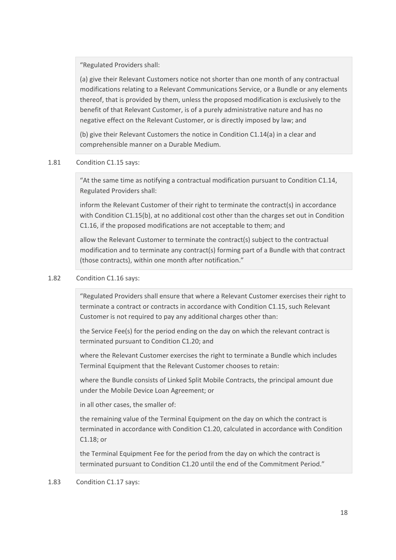"Regulated Providers shall:

(a) give their Relevant Customers notice not shorter than one month of any contractual modifications relating to a Relevant Communications Service, or a Bundle or any elements thereof, that is provided by them, unless the proposed modification is exclusively to the benefit of that Relevant Customer, is of a purely administrative nature and has no negative effect on the Relevant Customer, or is directly imposed by law; and

(b) give their Relevant Customers the notice in Condition C1.14(a) in a clear and comprehensible manner on a Durable Medium.

### 1.81 Condition C1.15 says:

"At the same time as notifying a contractual modification pursuant to Condition C1.14, Regulated Providers shall:

inform the Relevant Customer of their right to terminate the contract(s) in accordance with Condition C1.15(b), at no additional cost other than the charges set out in Condition C1.16, if the proposed modifications are not acceptable to them; and

allow the Relevant Customer to terminate the contract(s) subject to the contractual modification and to terminate any contract(s) forming part of a Bundle with that contract (those contracts), within one month after notification."

### 1.82 Condition C1.16 says:

"Regulated Providers shall ensure that where a Relevant Customer exercises their right to terminate a contract or contracts in accordance with Condition C1.15, such Relevant Customer is not required to pay any additional charges other than:

the Service Fee(s) for the period ending on the day on which the relevant contract is terminated pursuant to Condition C1.20; and

where the Relevant Customer exercises the right to terminate a Bundle which includes Terminal Equipment that the Relevant Customer chooses to retain:

where the Bundle consists of Linked Split Mobile Contracts, the principal amount due under the Mobile Device Loan Agreement; or

in all other cases, the smaller of:

the remaining value of the Terminal Equipment on the day on which the contract is terminated in accordance with Condition C1.20, calculated in accordance with Condition C1.18; or

the Terminal Equipment Fee for the period from the day on which the contract is terminated pursuant to Condition C1.20 until the end of the Commitment Period."

### 1.83 Condition C1.17 says: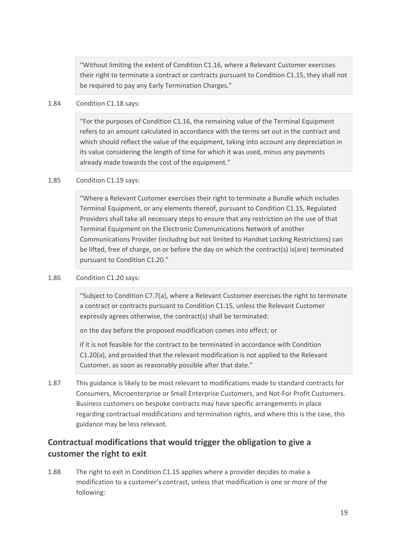"Without limiting the extent of Condition C1.16, where a Relevant Customer exercises their right to terminate a contract or contracts pursuant to Condition C1.15, they shall not be required to pay any Early Termination Charges."

### 1.84 Condition C1.18 says:

"For the purposes of Condition C1.16, the remaining value of the Terminal Equipment refers to an amount calculated in accordance with the terms set out in the contract and which should reflect the value of the equipment, taking into account any depreciation in its value considering the length of time for which it was used, minus any payments already made towards the cost of the equipment."

### 1.85 Condition C1.19 says:

"Where a Relevant Customer exercises their right to terminate a Bundle which includes Terminal Equipment, or any elements thereof, pursuant to Condition C1.15, Regulated Providers shall take all necessary steps to ensure that any restriction on the use of that Terminal Equipment on the Electronic Communications Network of another Communications Provider (including but not limited to Handset Locking Restrictions) can be lifted, free of charge, on or before the day on which the contract(s) is(are) terminated pursuant to Condition C1.20."

### 1.86 Condition C1.20 says:

"Subject to Condition C7.7(a), where a Relevant Customer exercises the right to terminate a contract or contracts pursuant to Condition C1.15, unless the Relevant Customer expressly agrees otherwise, the contract(s) shall be terminated:

on the day before the proposed modification comes into effect; or

if it is not feasible for the contract to be terminated in accordance with Condition C1.20(a), and provided that the relevant modification is not applied to the Relevant Customer, as soon as reasonably possible after that date."

1.87 This guidance is likely to be most relevant to modifications made to standard contracts for Consumers, Microenterprise or Small Enterprise Customers, and Not-For Profit Customers. Business customers on bespoke contracts may have specific arrangements in place regarding contractual modifications and termination rights, and where this is the case, this guidance may be less relevant.

# **Contractual modifications that would trigger the obligation to give a customer the right to exit**

1.88 The right to exit in Condition C1.15 applies where a provider decides to make a modification to a customer's contract, unless that modification is one or more of the following: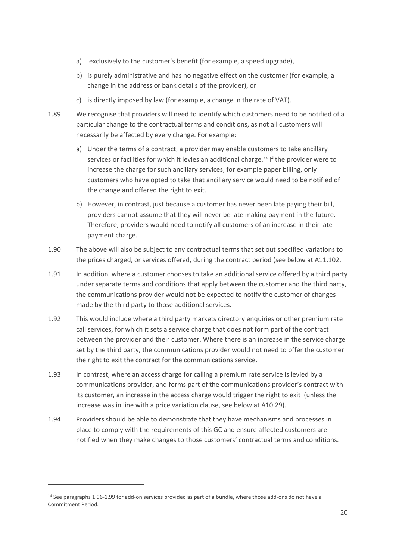- a) exclusively to the customer's benefit (for example, a speed upgrade),
- b) is purely administrative and has no negative effect on the customer (for example, a change in the address or bank details of the provider), or
- c) is directly imposed by law (for example, a change in the rate of VAT).
- 1.89 We recognise that providers will need to identify which customers need to be notified of a particular change to the contractual terms and conditions, as not all customers will necessarily be affected by every change. For example:
	- a) Under the terms of a contract, a provider may enable customers to take ancillary services or facilities for which it levies an additional charge.[14](#page-19-0) If the provider were to increase the charge for such ancillary services, for example paper billing, only customers who have opted to take that ancillary service would need to be notified of the change and offered the right to exit.
	- b) However, in contrast, just because a customer has never been late paying their bill, providers cannot assume that they will never be late making payment in the future. Therefore, providers would need to notify all customers of an increase in their late payment charge.
- 1.90 The above will also be subject to any contractual terms that set out specified variations to the prices charged, or services offered, during the contract period (see below at A11.102.
- 1.91 In addition, where a customer chooses to take an additional service offered by a third party under separate terms and conditions that apply between the customer and the third party, the communications provider would not be expected to notify the customer of changes made by the third party to those additional services.
- 1.92 This would include where a third party markets directory enquiries or other premium rate call services, for which it sets a service charge that does not form part of the contract between the provider and their customer. Where there is an increase in the service charge set by the third party, the communications provider would not need to offer the customer the right to exit the contract for the communications service.
- 1.93 In contrast, where an access charge for calling a premium rate service is levied by a communications provider, and forms part of the communications provider's contract with its customer, an increase in the access charge would trigger the right to exit (unless the increase was in line with a price variation clause, see below at A10.29).
- 1.94 Providers should be able to demonstrate that they have mechanisms and processes in place to comply with the requirements of this GC and ensure affected customers are notified when they make changes to those customers' contractual terms and conditions.

<span id="page-19-0"></span><sup>&</sup>lt;sup>14</sup> See paragraphs 1.96-1.99 for add-on services provided as part of a bundle, where those add-ons do not have a Commitment Period.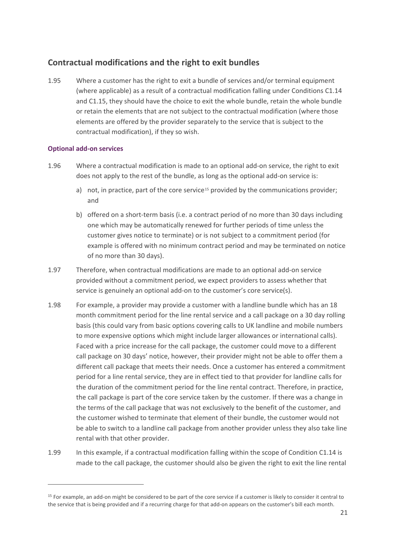# **Contractual modifications and the right to exit bundles**

1.95 Where a customer has the right to exit a bundle of services and/or terminal equipment (where applicable) as a result of a contractual modification falling under Conditions C1.14 and C1.15, they should have the choice to exit the whole bundle, retain the whole bundle or retain the elements that are not subject to the contractual modification (where those elements are offered by the provider separately to the service that is subject to the contractual modification), if they so wish.

### **Optional add-on services**

- 1.96 Where a contractual modification is made to an optional add-on service, the right to exit does not apply to the rest of the bundle, as long as the optional add-on service is:
	- a) not, in practice, part of the core service<sup>[15](#page-20-0)</sup> provided by the communications provider; and
	- b) offered on a short-term basis (i.e. a contract period of no more than 30 days including one which may be automatically renewed for further periods of time unless the customer gives notice to terminate) or is not subject to a commitment period (for example is offered with no minimum contract period and may be terminated on notice of no more than 30 days).
- 1.97 Therefore, when contractual modifications are made to an optional add-on service provided without a commitment period, we expect providers to assess whether that service is genuinely an optional add-on to the customer's core service(s).
- 1.98 For example, a provider may provide a customer with a landline bundle which has an 18 month commitment period for the line rental service and a call package on a 30 day rolling basis (this could vary from basic options covering calls to UK landline and mobile numbers to more expensive options which might include larger allowances or international calls). Faced with a price increase for the call package, the customer could move to a different call package on 30 days' notice, however, their provider might not be able to offer them a different call package that meets their needs. Once a customer has entered a commitment period for a line rental service, they are in effect tied to that provider for landline calls for the duration of the commitment period for the line rental contract. Therefore, in practice, the call package is part of the core service taken by the customer. If there was a change in the terms of the call package that was not exclusively to the benefit of the customer, and the customer wished to terminate that element of their bundle, the customer would not be able to switch to a landline call package from another provider unless they also take line rental with that other provider.
- 1.99 In this example, if a contractual modification falling within the scope of Condition C1.14 is made to the call package, the customer should also be given the right to exit the line rental

<span id="page-20-0"></span><sup>&</sup>lt;sup>15</sup> For example, an add-on might be considered to be part of the core service if a customer is likely to consider it central to the service that is being provided and if a recurring charge for that add-on appears on the customer's bill each month.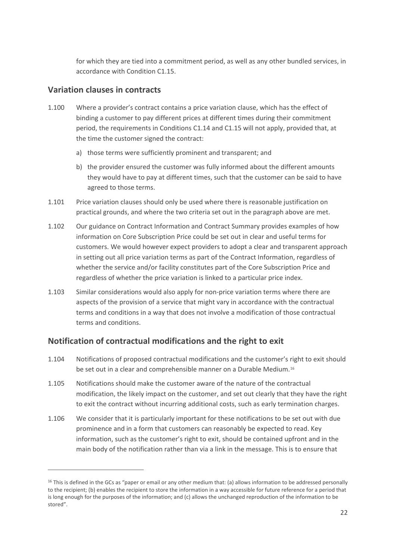for which they are tied into a commitment period, as well as any other bundled services, in accordance with Condition C1.15.

### **Variation clauses in contracts**

- 1.100 Where a provider's contract contains a price variation clause, which has the effect of binding a customer to pay different prices at different times during their commitment period, the requirements in Conditions C1.14 and C1.15 will not apply, provided that, at the time the customer signed the contract:
	- a) those terms were sufficiently prominent and transparent; and
	- b) the provider ensured the customer was fully informed about the different amounts they would have to pay at different times, such that the customer can be said to have agreed to those terms.
- 1.101 Price variation clauses should only be used where there is reasonable justification on practical grounds, and where the two criteria set out in the paragraph above are met.
- 1.102 Our guidance on Contract Information and Contract Summary provides examples of how information on Core Subscription Price could be set out in clear and useful terms for customers. We would however expect providers to adopt a clear and transparent approach in setting out all price variation terms as part of the Contract Information, regardless of whether the service and/or facility constitutes part of the Core Subscription Price and regardless of whether the price variation is linked to a particular price index.
- 1.103 Similar considerations would also apply for non-price variation terms where there are aspects of the provision of a service that might vary in accordance with the contractual terms and conditions in a way that does not involve a modification of those contractual terms and conditions.

# **Notification of contractual modifications and the right to exit**

- 1.104 Notifications of proposed contractual modifications and the customer's right to exit should be set out in a clear and comprehensible manner on a Durable Medium.<sup>[16](#page-21-0)</sup>
- 1.105 Notifications should make the customer aware of the nature of the contractual modification, the likely impact on the customer, and set out clearly that they have the right to exit the contract without incurring additional costs, such as early termination charges.
- 1.106 We consider that it is particularly important for these notifications to be set out with due prominence and in a form that customers can reasonably be expected to read. Key information, such as the customer's right to exit, should be contained upfront and in the main body of the notification rather than via a link in the message. This is to ensure that

<span id="page-21-0"></span> $16$  This is defined in the GCs as "paper or email or any other medium that: (a) allows information to be addressed personally to the recipient; (b) enables the recipient to store the information in a way accessible for future reference for a period that is long enough for the purposes of the information; and (c) allows the unchanged reproduction of the information to be stored".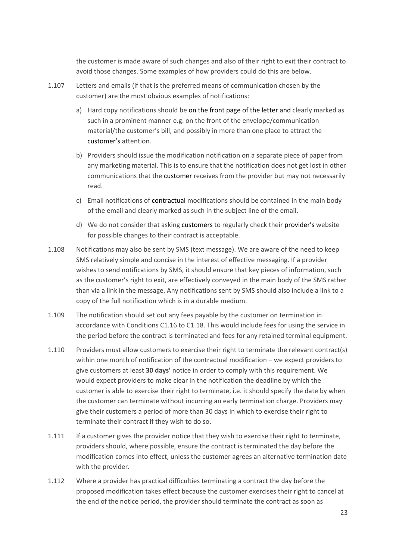the customer is made aware of such changes and also of their right to exit their contract to avoid those changes. Some examples of how providers could do this are below.

- 1.107 Letters and emails (if that is the preferred means of communication chosen by the customer) are the most obvious examples of notifications:
	- a) Hard copy notifications should be on the front page of the letter and clearly marked as such in a prominent manner e.g. on the front of the envelope/communication material/the customer's bill, and possibly in more than one place to attract the customer's attention.
	- b) Providers should issue the modification notification on a separate piece of paper from any marketing material. This is to ensure that the notification does not get lost in other communications that the customer receives from the provider but may not necessarily read.
	- c) Email notifications of contractual modifications should be contained in the main body of the email and clearly marked as such in the subject line of the email.
	- d) We do not consider that asking customers to regularly check their provider's website for possible changes to their contract is acceptable.
- 1.108 Notifications may also be sent by SMS (text message). We are aware of the need to keep SMS relatively simple and concise in the interest of effective messaging. If a provider wishes to send notifications by SMS, it should ensure that key pieces of information, such as the customer's right to exit, are effectively conveyed in the main body of the SMS rather than via a link in the message. Any notifications sent by SMS should also include a link to a copy of the full notification which is in a durable medium.
- 1.109 The notification should set out any fees payable by the customer on termination in accordance with Conditions C1.16 to C1.18. This would include fees for using the service in the period before the contract is terminated and fees for any retained terminal equipment.
- 1.110 Providers must allow customers to exercise their right to terminate the relevant contract(s) within one month of notification of the contractual modification – we expect providers to give customers at least **30 days'** notice in order to comply with this requirement. We would expect providers to make clear in the notification the deadline by which the customer is able to exercise their right to terminate, i.e. it should specify the date by when the customer can terminate without incurring an early termination charge. Providers may give their customers a period of more than 30 days in which to exercise their right to terminate their contract if they wish to do so.
- 1.111 If a customer gives the provider notice that they wish to exercise their right to terminate, providers should, where possible, ensure the contract is terminated the day before the modification comes into effect, unless the customer agrees an alternative termination date with the provider.
- 1.112 Where a provider has practical difficulties terminating a contract the day before the proposed modification takes effect because the customer exercises their right to cancel at the end of the notice period, the provider should terminate the contract as soon as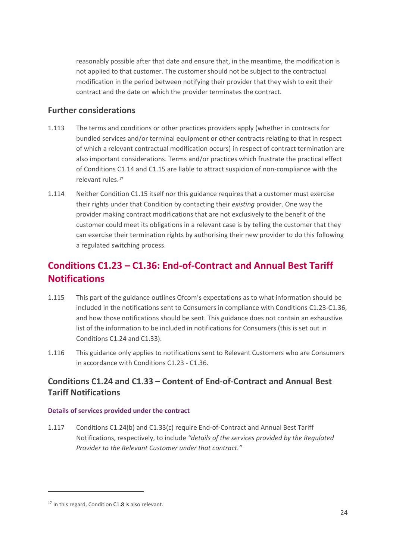reasonably possible after that date and ensure that, in the meantime, the modification is not applied to that customer. The customer should not be subject to the contractual modification in the period between notifying their provider that they wish to exit their contract and the date on which the provider terminates the contract.

### **Further considerations**

- 1.113 The terms and conditions or other practices providers apply (whether in contracts for bundled services and/or terminal equipment or other contracts relating to that in respect of which a relevant contractual modification occurs) in respect of contract termination are also important considerations. Terms and/or practices which frustrate the practical effect of Conditions C1.14 and C1.15 are liable to attract suspicion of non-compliance with the relevant rules.[17](#page-23-0)
- 1.114 Neither Condition C1.15 itself nor this guidance requires that a customer must exercise their rights under that Condition by contacting their *existing* provider. One way the provider making contract modifications that are not exclusively to the benefit of the customer could meet its obligations in a relevant case is by telling the customer that they can exercise their termination rights by authorising their new provider to do this following a regulated switching process.

# **Conditions C1.23 – C1.36: End-of-Contract and Annual Best Tariff Notifications**

- 1.115 This part of the guidance outlines Ofcom's expectations as to what information should be included in the notifications sent to Consumers in compliance with Conditions C1.23-C1.36, and how those notifications should be sent. This guidance does not contain an exhaustive list of the information to be included in notifications for Consumers (this is set out in Conditions C1.24 and C1.33).
- 1.116 This guidance only applies to notifications sent to Relevant Customers who are Consumers in accordance with Conditions C1.23 - C1.36.

# **Conditions C1.24 and C1.33 – Content of End-of-Contract and Annual Best Tariff Notifications**

### **Details of services provided under the contract**

1.117 Conditions C1.24(b) and C1.33(c) require End-of-Contract and Annual Best Tariff Notifications, respectively, to include *"details of the services provided by the Regulated Provider to the Relevant Customer under that contract."*

<span id="page-23-0"></span><sup>&</sup>lt;sup>17</sup> In this regard, Condition C1.8 is also relevant.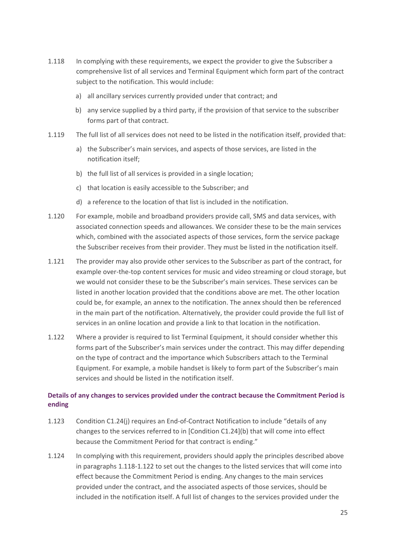- 1.118 In complying with these requirements, we expect the provider to give the Subscriber a comprehensive list of all services and Terminal Equipment which form part of the contract subject to the notification. This would include:
	- a) all ancillary services currently provided under that contract; and
	- b) any service supplied by a third party, if the provision of that service to the subscriber forms part of that contract.
- 1.119 The full list of all services does not need to be listed in the notification itself, provided that:
	- a) the Subscriber's main services, and aspects of those services, are listed in the notification itself;
	- b) the full list of all services is provided in a single location;
	- c) that location is easily accessible to the Subscriber; and
	- d) a reference to the location of that list is included in the notification.
- 1.120 For example, mobile and broadband providers provide call, SMS and data services, with associated connection speeds and allowances. We consider these to be the main services which, combined with the associated aspects of those services, form the service package the Subscriber receives from their provider. They must be listed in the notification itself.
- 1.121 The provider may also provide other services to the Subscriber as part of the contract, for example over-the-top content services for music and video streaming or cloud storage, but we would not consider these to be the Subscriber's main services. These services can be listed in another location provided that the conditions above are met. The other location could be, for example, an annex to the notification. The annex should then be referenced in the main part of the notification. Alternatively, the provider could provide the full list of services in an online location and provide a link to that location in the notification.
- 1.122 Where a provider is required to list Terminal Equipment, it should consider whether this forms part of the Subscriber's main services under the contract. This may differ depending on the type of contract and the importance which Subscribers attach to the Terminal Equipment. For example, a mobile handset is likely to form part of the Subscriber's main services and should be listed in the notification itself.

### **Details of any changes to services provided under the contract because the Commitment Period is ending**

- 1.123 Condition C1.24(j) requires an End-of-Contract Notification to include "details of any changes to the services referred to in [Condition C1.24](b) that will come into effect because the Commitment Period for that contract is ending."
- 1.124 In complying with this requirement, providers should apply the principles described above in paragraphs 1.118-1.122 to set out the changes to the listed services that will come into effect because the Commitment Period is ending. Any changes to the main services provided under the contract, and the associated aspects of those services, should be included in the notification itself. A full list of changes to the services provided under the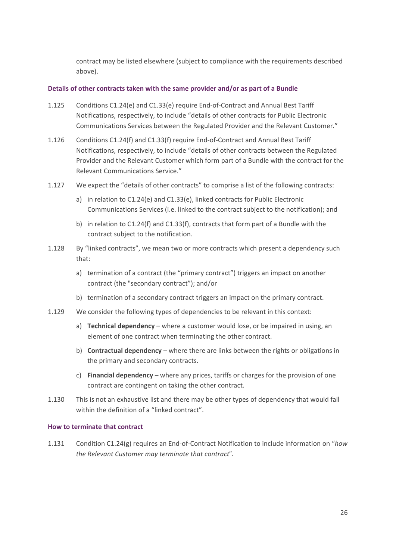contract may be listed elsewhere (subject to compliance with the requirements described above).

### **Details of other contracts taken with the same provider and/or as part of a Bundle**

- 1.125 Conditions C1.24(e) and C1.33(e) require End-of-Contract and Annual Best Tariff Notifications, respectively, to include "details of other contracts for Public Electronic Communications Services between the Regulated Provider and the Relevant Customer."
- 1.126 Conditions C1.24(f) and C1.33(f) require End-of-Contract and Annual Best Tariff Notifications, respectively, to include "details of other contracts between the Regulated Provider and the Relevant Customer which form part of a Bundle with the contract for the Relevant Communications Service."
- 1.127 We expect the "details of other contracts" to comprise a list of the following contracts:
	- a) in relation to C1.24(e) and C1.33(e), linked contracts for Public Electronic Communications Services (i.e. linked to the contract subject to the notification); and
	- b) in relation to C1.24(f) and C1.33(f), contracts that form part of a Bundle with the contract subject to the notification.
- 1.128 By "linked contracts", we mean two or more contracts which present a dependency such that:
	- a) termination of a contract (the "primary contract") triggers an impact on another contract (the "secondary contract"); and/or
	- b) termination of a secondary contract triggers an impact on the primary contract.
- 1.129 We consider the following types of dependencies to be relevant in this context:
	- a) **Technical dependency** where a customer would lose, or be impaired in using, an element of one contract when terminating the other contract.
	- b) **Contractual dependency**  where there are links between the rights or obligations in the primary and secondary contracts.
	- c) **Financial dependency** where any prices, tariffs or charges for the provision of one contract are contingent on taking the other contract.
- 1.130 This is not an exhaustive list and there may be other types of dependency that would fall within the definition of a "linked contract".

#### **How to terminate that contract**

1.131 Condition C1.24(g) requires an End-of-Contract Notification to include information on "*how the Relevant Customer may terminate that contract*".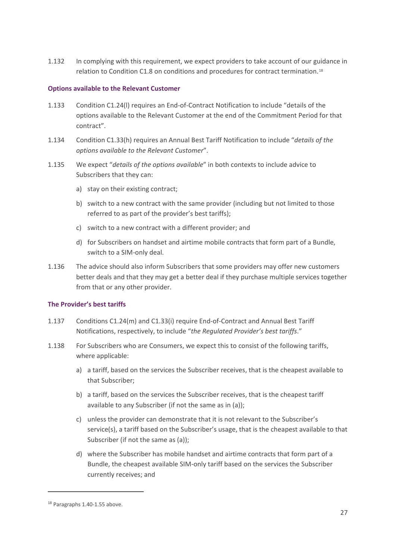1.132 In complying with this requirement, we expect providers to take account of our guidance in relation to Condition C1.8 on conditions and procedures for contract termination.[18](#page-26-0)

### **Options available to the Relevant Customer**

- 1.133 Condition C1.24(l) requires an End-of-Contract Notification to include "details of the options available to the Relevant Customer at the end of the Commitment Period for that contract".
- 1.134 Condition C1.33(h) requires an Annual Best Tariff Notification to include "*details of the options available to the Relevant Customer*".
- 1.135 We expect "*details of the options available*" in both contexts to include advice to Subscribers that they can:
	- a) stay on their existing contract;
	- b) switch to a new contract with the same provider (including but not limited to those referred to as part of the provider's best tariffs);
	- c) switch to a new contract with a different provider; and
	- d) for Subscribers on handset and airtime mobile contracts that form part of a Bundle, switch to a SIM-only deal.
- 1.136 The advice should also inform Subscribers that some providers may offer new customers better deals and that they may get a better deal if they purchase multiple services together from that or any other provider.

### **The Provider's best tariffs**

- 1.137 Conditions C1.24(m) and C1.33(i) require End-of-Contract and Annual Best Tariff Notifications, respectively, to include "*the Regulated Provider's best tariffs*."
- 1.138 For Subscribers who are Consumers, we expect this to consist of the following tariffs, where applicable:
	- a) a tariff, based on the services the Subscriber receives, that is the cheapest available to that Subscriber;
	- b) a tariff, based on the services the Subscriber receives, that is the cheapest tariff available to any Subscriber (if not the same as in (a));
	- c) unless the provider can demonstrate that it is not relevant to the Subscriber's service(s), a tariff based on the Subscriber's usage, that is the cheapest available to that Subscriber (if not the same as (a));
	- d) where the Subscriber has mobile handset and airtime contracts that form part of a Bundle, the cheapest available SIM-only tariff based on the services the Subscriber currently receives; and

<span id="page-26-0"></span><sup>18</sup> Paragraphs 1.40-1.55 above.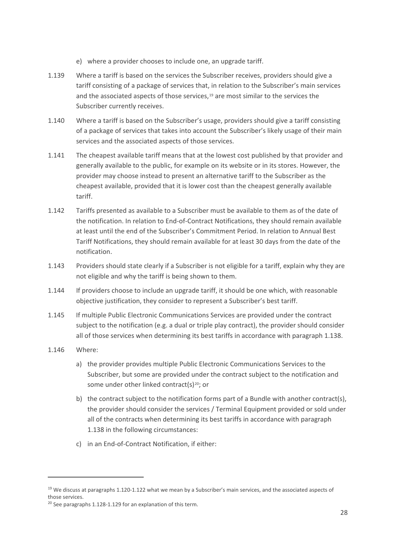- e) where a provider chooses to include one, an upgrade tariff.
- 1.139 Where a tariff is based on the services the Subscriber receives, providers should give a tariff consisting of a package of services that, in relation to the Subscriber's main services and the associated aspects of those services, $19$  are most similar to the services the Subscriber currently receives.
- 1.140 Where a tariff is based on the Subscriber's usage, providers should give a tariff consisting of a package of services that takes into account the Subscriber's likely usage of their main services and the associated aspects of those services.
- 1.141 The cheapest available tariff means that at the lowest cost published by that provider and generally available to the public, for example on its website or in its stores. However, the provider may choose instead to present an alternative tariff to the Subscriber as the cheapest available, provided that it is lower cost than the cheapest generally available tariff.
- 1.142 Tariffs presented as available to a Subscriber must be available to them as of the date of the notification. In relation to End-of-Contract Notifications, they should remain available at least until the end of the Subscriber's Commitment Period. In relation to Annual Best Tariff Notifications, they should remain available for at least 30 days from the date of the notification.
- 1.143 Providers should state clearly if a Subscriber is not eligible for a tariff, explain why they are not eligible and why the tariff is being shown to them.
- 1.144 If providers choose to include an upgrade tariff, it should be one which, with reasonable objective justification, they consider to represent a Subscriber's best tariff.
- 1.145 If multiple Public Electronic Communications Services are provided under the contract subject to the notification (e.g. a dual or triple play contract), the provider should consider all of those services when determining its best tariffs in accordance with paragraph 1.138.
- 1.146 Where:
	- a) the provider provides multiple Public Electronic Communications Services to the Subscriber, but some are provided under the contract subject to the notification and some under other linked contract(s)<sup>[20](#page-27-1)</sup>; or
	- b) the contract subject to the notification forms part of a Bundle with another contract(s), the provider should consider the services / Terminal Equipment provided or sold under all of the contracts when determining its best tariffs in accordance with paragraph 1.138 in the following circumstances:
	- c) in an End-of-Contract Notification, if either:

<span id="page-27-0"></span> $19$  We discuss at paragraphs 1.120-1.122 what we mean by a Subscriber's main services, and the associated aspects of those services.

<span id="page-27-1"></span> $20$  See paragraphs 1.128-1.129 for an explanation of this term.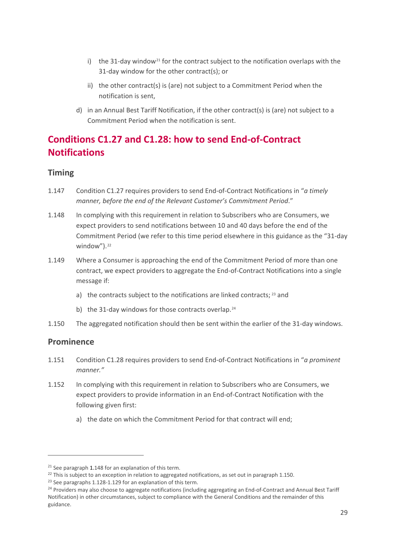- i) the 31-day window<sup>[21](#page-28-0)</sup> for the contract subject to the notification overlaps with the 31-day window for the other contract(s); or
- ii) the other contract(s) is (are) not subject to a Commitment Period when the notification is sent,
- d) in an Annual Best Tariff Notification, if the other contract(s) is (are) not subject to a Commitment Period when the notification is sent.

# **Conditions C1.27 and C1.28: how to send End-of-Contract Notifications**

### **Timing**

- 1.147 Condition C1.27 requires providers to send End-of-Contract Notifications in "*a timely manner, before the end of the Relevant Customer's Commitment Period*."
- 1.148 In complying with this requirement in relation to Subscribers who are Consumers, we expect providers to send notifications between 10 and 40 days before the end of the Commitment Period (we refer to this time period elsewhere in this guidance as the "31-day window").<sup>[22](#page-28-1)</sup>
- 1.149 Where a Consumer is approaching the end of the Commitment Period of more than one contract, we expect providers to aggregate the End-of-Contract Notifications into a single message if:
	- a) the contracts subject to the notifications are linked contracts; <sup>[23](#page-28-2)</sup> and
	- b) the 31-day windows for those contracts overlap.<sup>[24](#page-28-3)</sup>
- 1.150 The aggregated notification should then be sent within the earlier of the 31-day windows.

### **Prominence**

- 1.151 Condition C1.28 requires providers to send End-of-Contract Notifications in "*a prominent manner."*
- 1.152 In complying with this requirement in relation to Subscribers who are Consumers, we expect providers to provide information in an End-of-Contract Notification with the following given first:
	- a) the date on which the Commitment Period for that contract will end;

<span id="page-28-1"></span><span id="page-28-0"></span><sup>&</sup>lt;sup>21</sup> See paragraph 1.148 for an explanation of this term.<br><sup>22</sup> This is subject to an exception in relation to aggregated notifications, as set out in paragraph 1.150.

<span id="page-28-3"></span><span id="page-28-2"></span><sup>&</sup>lt;sup>23</sup> See paragraphs 1.128-1.129 for an explanation of this term.<br><sup>24</sup> Providers may also choose to aggregate notifications (including aggregating an End-of-Contract and Annual Best Tariff Notification) in other circumstances, subject to compliance with the General Conditions and the remainder of this guidance.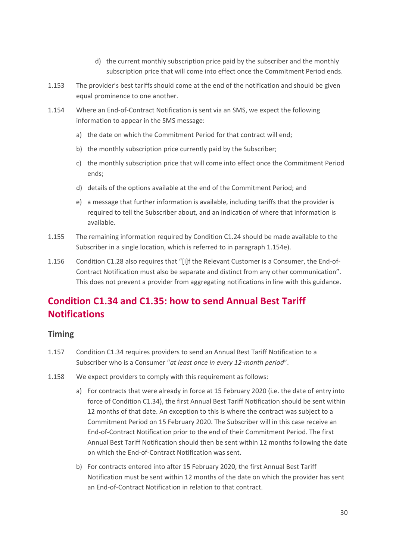- d) the current monthly subscription price paid by the subscriber and the monthly subscription price that will come into effect once the Commitment Period ends.
- 1.153 The provider's best tariffs should come at the end of the notification and should be given equal prominence to one another.
- 1.154 Where an End-of-Contract Notification is sent via an SMS, we expect the following information to appear in the SMS message:
	- a) the date on which the Commitment Period for that contract will end;
	- b) the monthly subscription price currently paid by the Subscriber;
	- c) the monthly subscription price that will come into effect once the Commitment Period ends;
	- d) details of the options available at the end of the Commitment Period; and
	- e) a message that further information is available, including tariffs that the provider is required to tell the Subscriber about, and an indication of where that information is available.
- 1.155 The remaining information required by Condition C1.24 should be made available to the Subscriber in a single location, which is referred to in paragraph 1.154e).
- 1.156 Condition C1.28 also requires that "[i]f the Relevant Customer is a Consumer, the End-of-Contract Notification must also be separate and distinct from any other communication". This does not prevent a provider from aggregating notifications in line with this guidance.

# **Condition C1.34 and C1.35: how to send Annual Best Tariff Notifications**

### **Timing**

- 1.157 Condition C1.34 requires providers to send an Annual Best Tariff Notification to a Subscriber who is a Consumer "*at least once in every 12-month period*".
- 1.158 We expect providers to comply with this requirement as follows:
	- a) For contracts that were already in force at 15 February 2020 (i.e. the date of entry into force of Condition C1.34), the first Annual Best Tariff Notification should be sent within 12 months of that date. An exception to this is where the contract was subject to a Commitment Period on 15 February 2020. The Subscriber will in this case receive an End-of-Contract Notification prior to the end of their Commitment Period. The first Annual Best Tariff Notification should then be sent within 12 months following the date on which the End-of-Contract Notification was sent.
	- b) For contracts entered into after 15 February 2020, the first Annual Best Tariff Notification must be sent within 12 months of the date on which the provider has sent an End-of-Contract Notification in relation to that contract.